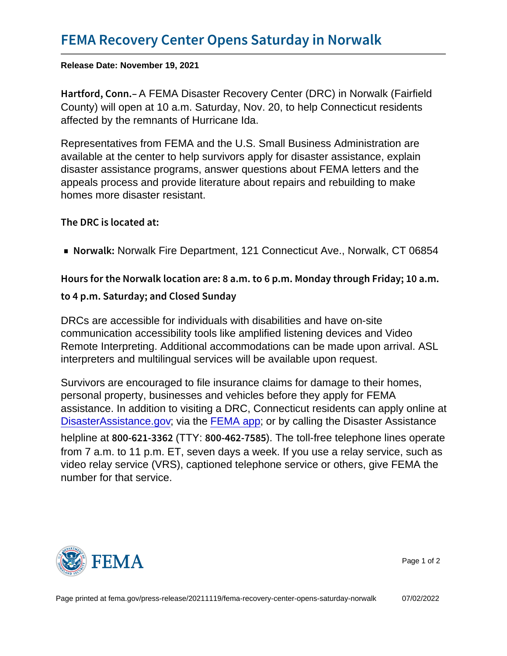Release Date: November 19, 2021

Hartford, **GGEMA** Disaster Recovery Center (DRC) in Norwalk (Fairfield County) will open at 10 a.m. Saturday, Nov. 20, to help Connecticut residents affected by the remnants of Hurricane Ida.

Representatives from FEMA and the U.S. Small Business Administration are available at the center to help survivors apply for disaster assistance, explain disaster assistance programs, answer questions about FEMA letters and the appeals process and provide literature about repairs and rebuilding to make homes more disaster resistant.

The DRC is located at:

■ Norwalds walk Fire Department, 121 Connecticut Ave., Norwalk, CT 06854

Hours for the Norwalk location are: 8 a.m. to 6 p.m. Monda to 4 p.m. Saturday; and Closed Sunday

DRCs are accessible for individuals with disabilities and have on-site communication accessibility tools like amplified listening devices and Video Remote Interpreting. Additional accommodations can be made upon arrival. ASL interpreters and multilingual services will be available upon request.

Survivors are encouraged to file insurance claims for damage to their homes, personal property, businesses and vehicles before they apply for FEMA assistance. In addition to visiting a DRC, Connecticut residents can apply online at [DisasterAssistance.gov;](http://www.disasterassistance.gov/) via the [FEMA app](https://www.fema.gov/about/news-multimedia/mobile-app-text-messages); or by calling the Disaster Assistance helpline at  $800 - 621$  (BTY6  $200 - 462$ ). The Stoll-free telephone lines operate from 7 a.m. to 11 p.m. ET, seven days a week. If you use a relay service, such as video relay service (VRS), captioned telephone service or others, give FEMA the number for that service.



Page 1 of 2